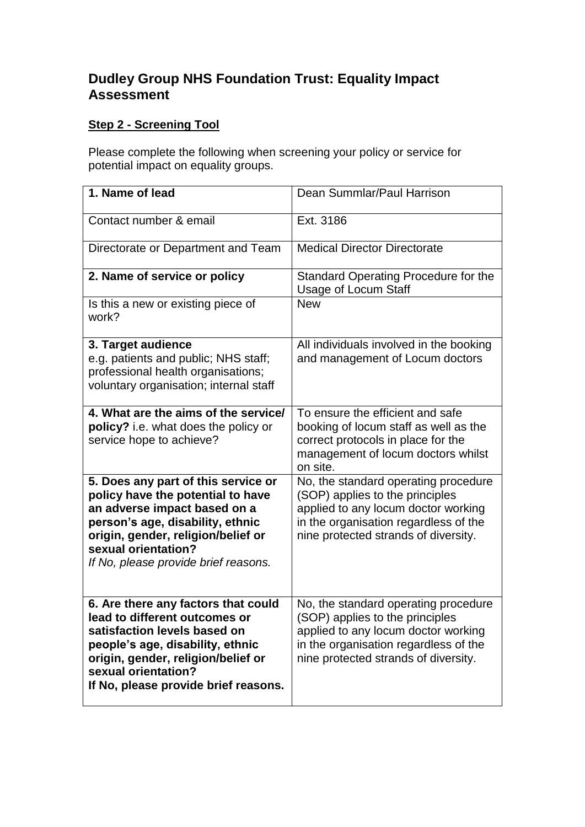## **Dudley Group NHS Foundation Trust: Equality Impact Assessment**

## **Step 2 - Screening Tool**

Please complete the following when screening your policy or service for potential impact on equality groups.

| 1. Name of lead                                                                                                                                                                                                                                   | Dean Summlar/Paul Harrison                                                                                                                                                                      |
|---------------------------------------------------------------------------------------------------------------------------------------------------------------------------------------------------------------------------------------------------|-------------------------------------------------------------------------------------------------------------------------------------------------------------------------------------------------|
| Contact number & email                                                                                                                                                                                                                            | Ext. 3186                                                                                                                                                                                       |
| Directorate or Department and Team                                                                                                                                                                                                                | <b>Medical Director Directorate</b>                                                                                                                                                             |
| 2. Name of service or policy                                                                                                                                                                                                                      | Standard Operating Procedure for the<br><b>Usage of Locum Staff</b>                                                                                                                             |
| Is this a new or existing piece of<br>work?                                                                                                                                                                                                       | <b>New</b>                                                                                                                                                                                      |
| 3. Target audience<br>e.g. patients and public; NHS staff;<br>professional health organisations;<br>voluntary organisation; internal staff                                                                                                        | All individuals involved in the booking<br>and management of Locum doctors                                                                                                                      |
| 4. What are the aims of the service/<br>policy? i.e. what does the policy or<br>service hope to achieve?                                                                                                                                          | To ensure the efficient and safe<br>booking of locum staff as well as the<br>correct protocols in place for the<br>management of locum doctors whilst<br>on site.                               |
| 5. Does any part of this service or<br>policy have the potential to have<br>an adverse impact based on a<br>person's age, disability, ethnic<br>origin, gender, religion/belief or<br>sexual orientation?<br>If No, please provide brief reasons. | No, the standard operating procedure<br>(SOP) applies to the principles<br>applied to any locum doctor working<br>in the organisation regardless of the<br>nine protected strands of diversity. |
| 6. Are there any factors that could<br>lead to different outcomes or<br>satisfaction levels based on<br>people's age, disability, ethnic<br>origin, gender, religion/belief or<br>sexual orientation?<br>If No, please provide brief reasons.     | No, the standard operating procedure<br>(SOP) applies to the principles<br>applied to any locum doctor working<br>in the organisation regardless of the<br>nine protected strands of diversity. |